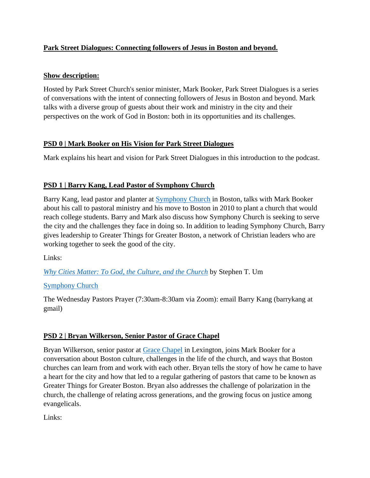## **Park Street Dialogues: Connecting followers of Jesus in Boston and beyond.**

#### **Show description:**

Hosted by Park Street Church's senior minister, Mark Booker, Park Street Dialogues is a series of conversations with the intent of connecting followers of Jesus in Boston and beyond. Mark talks with a diverse group of guests about their work and ministry in the city and their perspectives on the work of God in Boston: both in its opportunities and its challenges.

#### **PSD 0 | Mark Booker on His Vision for Park Street Dialogues**

Mark explains his heart and vision for Park Street Dialogues in this introduction to the podcast.

## **PSD 1 | Barry Kang, Lead Pastor of Symphony Church**

Barry Kang, lead pastor and planter at [Symphony Church](https://www.symphonychurch.com/) in Boston, talks with Mark Booker about his call to pastoral ministry and his move to Boston in 2010 to plant a church that would reach college students. Barry and Mark also discuss how Symphony Church is seeking to serve the city and the challenges they face in doing so. In addition to leading Symphony Church, Barry gives leadership to Greater Things for Greater Boston, a network of Christian leaders who are working together to seek the good of the city.

Links:

*[Why Cities Matter: To God, the Culture, and the Church](https://www.amazon.com/Why-Cities-Matter-Culture-Church/dp/1433532891)* by Stephen T. Um

## [Symphony Church](https://www.symphonychurch.com/)

The Wednesday Pastors Prayer (7:30am-8:30am via Zoom): email Barry Kang (barrykang at gmail)

## **PSD 2 | Bryan Wilkerson, Senior Pastor of Grace Chapel**

Bryan Wilkerson, senior pastor at [Grace Chapel](https://www.grace.org/) in Lexington, joins Mark Booker for a conversation about Boston culture, challenges in the life of the church, and ways that Boston churches can learn from and work with each other. Bryan tells the story of how he came to have a heart for the city and how that led to a regular gathering of pastors that came to be known as Greater Things for Greater Boston. Bryan also addresses the challenge of polarization in the church, the challenge of relating across generations, and the growing focus on justice among evangelicals.

Links: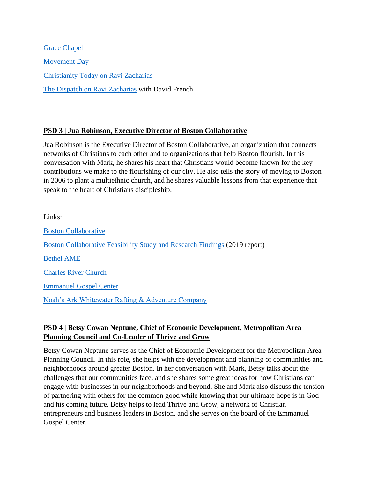[Grace Chapel](https://www.grace.org/) [Movement Day](https://www.movementday.com/) [Christianity Today on Ravi Zacharias](https://www.christianitytoday.com/news/2021/february/ravi-zacharias-rzim-investigation-sexual-abuse-sexting-rape.html) [The Dispatch on Ravi Zacharias](https://frenchpress.thedispatch.com/p/you-are-one-step-away-from-complete) with David French

#### **PSD 3 | Jua Robinson, Executive Director of Boston Collaborative**

Jua Robinson is the Executive Director of Boston Collaborative, an organization that connects networks of Christians to each other and to organizations that help Boston flourish. In this conversation with Mark, he shares his heart that Christians would become known for the key contributions we make to the flourishing of our city. He also tells the story of moving to Boston in 2006 to plant a multiethnic church, and he shares valuable lessons from that experience that speak to the heart of Christians discipleship.

Links: [Boston Collaborative](https://bostoncollaborative.org/) [Boston Collaborative Feasibility Study and Research Findings](https://bostoncollaborativeblog.files.wordpress.com/2019/06/annual-report-2019-web-2.pdf) (2019 report) [Bethel AME](https://www.bethelame.org/) [Charles River Church](https://charlesriverchurch.com/) [Emmanuel Gospel Center](https://www.egc.org/) [Noah's Ark Whitewater Rafting & Adventure Company](https://www.noahsark.com/)

#### **PSD 4 | Betsy Cowan Neptune, Chief of Economic Development, Metropolitan Area Planning Council and Co-Leader of Thrive and Grow**

Betsy Cowan Neptune serves as the Chief of Economic Development for the Metropolitan Area Planning Council. In this role, she helps with the development and planning of communities and neighborhoods around greater Boston. In her conversation with Mark, Betsy talks about the challenges that our communities face, and she shares some great ideas for how Christians can engage with businesses in our neighborhoods and beyond. She and Mark also discuss the tension of partnering with others for the common good while knowing that our ultimate hope is in God and his coming future. Betsy helps to lead Thrive and Grow, a network of Christian entrepreneurs and business leaders in Boston, and she serves on the board of the Emmanuel Gospel Center.